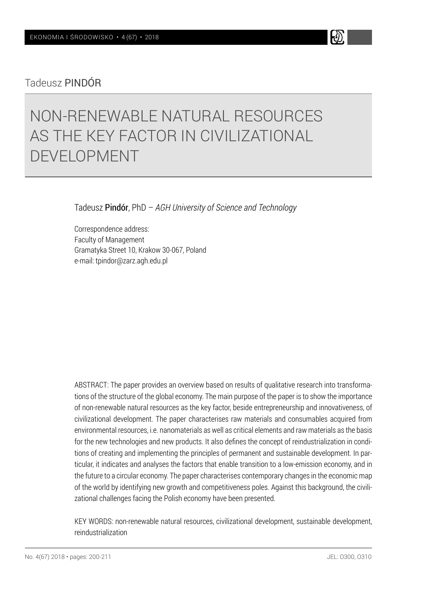## Tadeusz PINDÓR

# NON-RENEWABLE NATURAL RESOURCES AS THE KEY FACTOR IN CIVILIZATIONAL DEVELOPMENT

Tadeusz Pindór, PhD – *AGH University of Science and Technology*

Correspondence address: Faculty of Management Gramatyka Street 10, Krakow 30-067, Poland e-mail: tpindor@zarz.agh.edu.pl

ABSTRACT: The paper provides an overview based on results of qualitative research into transformations of the structure of the global economy. The main purpose of the paper is to show the importance of non-renewable natural resources as the key factor, beside entrepreneurship and innovativeness, of civilizational development. The paper characterises raw materials and consumables acquired from environmental resources, i.e. nanomaterials as well as critical elements and raw materials as the basis for the new technologies and new products. It also defines the concept of reindustrialization in conditions of creating and implementing the principles of permanent and sustainable development. In particular, it indicates and analyses the factors that enable transition to a low-emission economy, and in the future to a circular economy. The paper characterises contemporary changes in the economic map of the world by identifying new growth and competitiveness poles. Against this background, the civilizational challenges facing the Polish economy have been presented.

KEY WORDS: non-renewable natural resources, civilizational development, sustainable development, reindustrialization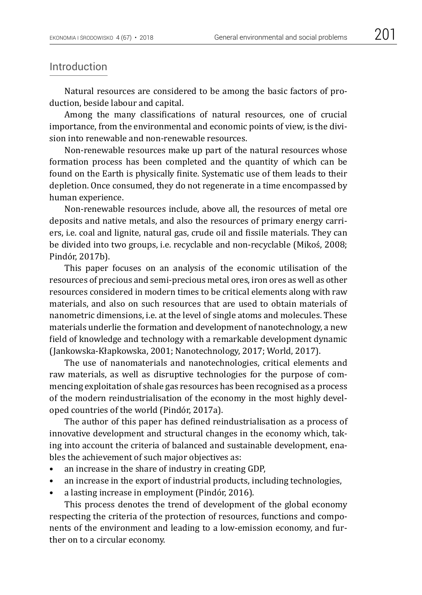#### Introduction

Natural resources are considered to be among the basic factors of production, beside labour and capital.

Among the many classifications of natural resources, one of crucial importance, from the environmental and economic points of view, is the division into renewable and non-renewable resources.

Non-renewable resources make up part of the natural resources whose formation process has been completed and the quantity of which can be found on the Earth is physically finite. Systematic use of them leads to their depletion. Once consumed, they do not regenerate in a time encompassed by human experience.

Non-renewable resources include, above all, the resources of metal ore deposits and native metals, and also the resources of primary energy carriers, i.e. coal and lignite, natural gas, crude oil and fissile materials. They can be divided into two groups, i.e. recyclable and non-recyclable (Mikoś, 2008; Pindór, 2017b).

This paper focuses on an analysis of the economic utilisation of the resources of precious and semi-precious metal ores, iron ores as well as other resources considered in modern times to be critical elements along with raw materials, and also on such resources that are used to obtain materials of nanometric dimensions, i.e. at the level of single atoms and molecules. These materials underlie the formation and development of nanotechnology, a new field of knowledge and technology with a remarkable development dynamic (Jankowska-Kłapkowska, 2001; Nanotechnology, 2017; World, 2017).

The use of nanomaterials and nanotechnologies, critical elements and raw materials, as well as disruptive technologies for the purpose of commencing exploitation of shale gas resources has been recognised as a process of the modern reindustrialisation of the economy in the most highly developed countries of the world (Pindór, 2017a).

The author of this paper has defined reindustrialisation as a process of innovative development and structural changes in the economy which, taking into account the criteria of balanced and sustainable development, enables the achievement of such major objectives as:

- an increase in the share of industry in creating GDP,
- an increase in the export of industrial products, including technologies,
- a lasting increase in employment (Pindór, 2016).

This process denotes the trend of development of the global economy respecting the criteria of the protection of resources, functions and components of the environment and leading to a low-emission economy, and further on to a circular economy.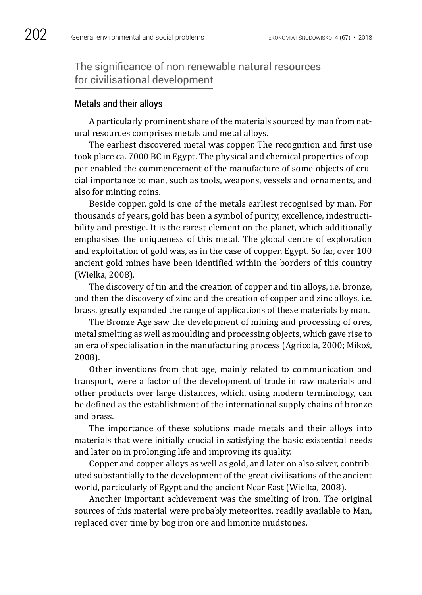The significance of non-renewable natural resources for civilisational development

#### Metals and their alloys

A particularly prominent share of the materials sourced by man from natural resources comprises metals and metal alloys.

The earliest discovered metal was copper. The recognition and first use took place ca. 7000 BC in Egypt. The physical and chemical properties of copper enabled the commencement of the manufacture of some objects of crucial importance to man, such as tools, weapons, vessels and ornaments, and also for minting coins.

Beside copper, gold is one of the metals earliest recognised by man. For thousands of years, gold has been a symbol of purity, excellence, indestructibility and prestige. It is the rarest element on the planet, which additionally emphasises the uniqueness of this metal. The global centre of exploration and exploitation of gold was, as in the case of copper, Egypt. So far, over 100 ancient gold mines have been identified within the borders of this country (Wielka, 2008).

The discovery of tin and the creation of copper and tin alloys, i.e. bronze, and then the discovery of zinc and the creation of copper and zinc alloys, i.e. brass, greatly expanded the range of applications of these materials by man.

The Bronze Age saw the development of mining and processing of ores, metal smelting as well as moulding and processing objects, which gave rise to an era of specialisation in the manufacturing process (Agricola, 2000; Mikoś, 2008).

Other inventions from that age, mainly related to communication and transport, were a factor of the development of trade in raw materials and other products over large distances, which, using modern terminology, can be defined as the establishment of the international supply chains of bronze and brass.

The importance of these solutions made metals and their alloys into materials that were initially crucial in satisfying the basic existential needs and later on in prolonging life and improving its quality.

Copper and copper alloys as well as gold, and later on also silver, contributed substantially to the development of the great civilisations of the ancient world, particularly of Egypt and the ancient Near East (Wielka, 2008).

Another important achievement was the smelting of iron. The original sources of this material were probably meteorites, readily available to Man, replaced over time by bog iron ore and limonite mudstones.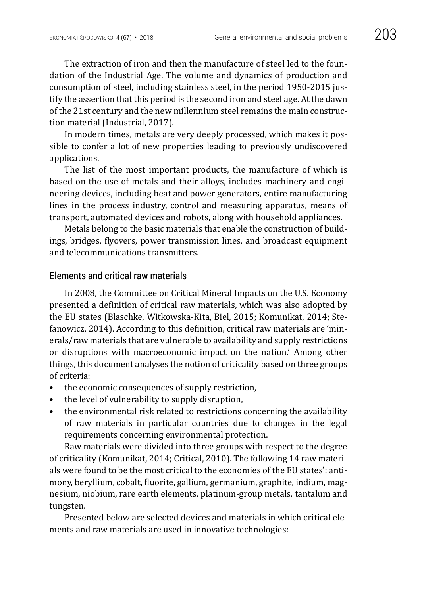The extraction of iron and then the manufacture of steel led to the foundation of the Industrial Age. The volume and dynamics of production and consumption of steel, including stainless steel, in the period 1950-2015 justify the assertion that this period is the second iron and steel age. At the dawn of the 21st century and the new millennium steel remains the main construction material (Industrial, 2017).

In modern times, metals are very deeply processed, which makes it possible to confer a lot of new properties leading to previously undiscovered applications.

The list of the most important products, the manufacture of which is based on the use of metals and their alloys, includes machinery and engineering devices, including heat and power generators, entire manufacturing lines in the process industry, control and measuring apparatus, means of transport, automated devices and robots, along with household appliances.

Metals belong to the basic materials that enable the construction of buildings, bridges, flyovers, power transmission lines, and broadcast equipment and telecommunications transmitters.

#### Elements and critical raw materials

In 2008, the Committee on Critical Mineral Impacts on the U.S. Economy presented a definition of critical raw materials, which was also adopted by the EU states (Blaschke, Witkowska-Kita, Biel, 2015; Komunikat, 2014; Stefanowicz, 2014). According to this definition, critical raw materials are 'minerals/raw materials that are vulnerable to availability and supply restrictions or disruptions with macroeconomic impact on the nation.' Among other things, this document analyses the notion of criticality based on three groups of criteria:

- the economic consequences of supply restriction.
- the level of vulnerability to supply disruption,
- the environmental risk related to restrictions concerning the availability of raw materials in particular countries due to changes in the legal requirements concerning environmental protection.

Raw materials were divided into three groups with respect to the degree of criticality (Komunikat, 2014; Critical, 2010). The following 14 raw materials were found to be the most critical to the economies of the EU states': antimony, beryllium, cobalt, fluorite, gallium, germanium, graphite, indium, magnesium, niobium, rare earth elements, platinum-group metals, tantalum and tungsten.

Presented below are selected devices and materials in which critical elements and raw materials are used in innovative technologies: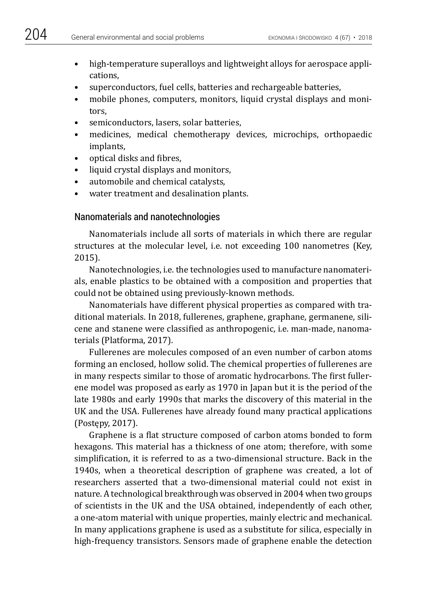- high-temperature superalloys and lightweight alloys for aerospace applications,
- superconductors, fuel cells, batteries and rechargeable batteries,
- mobile phones, computers, monitors, liquid crystal displays and monitors,
- semiconductors, lasers, solar batteries,
- medicines, medical chemotherapy devices, microchips, orthopaedic implants,
- optical disks and fibres,
- liquid crystal displays and monitors,
- automobile and chemical catalysts,
- water treatment and desalination plants.

### Nanomaterials and nanotechnologies

Nanomaterials include all sorts of materials in which there are regular structures at the molecular level, i.e. not exceeding 100 nanometres (Key, 2015).

Nanotechnologies, i.e. the technologies used to manufacture nanomaterials, enable plastics to be obtained with a composition and properties that could not be obtained using previously-known methods.

Nanomaterials have different physical properties as compared with traditional materials. In 2018, fullerenes, graphene, graphane, germanene, silicene and stanene were classified as anthropogenic, i.e. man-made, nanomaterials (Platforma, 2017).

Fullerenes are molecules composed of an even number of carbon atoms forming an enclosed, hollow solid. The chemical properties of fullerenes are in many respects similar to those of aromatic hydrocarbons. The first fullerene model was proposed as early as 1970 in Japan but it is the period of the late 1980s and early 1990s that marks the discovery of this material in the UK and the USA. Fullerenes have already found many practical applications (Postępy, 2017).

Graphene is a flat structure composed of carbon atoms bonded to form hexagons. This material has a thickness of one atom; therefore, with some simplification, it is referred to as a two-dimensional structure. Back in the 1940s, when a theoretical description of graphene was created, a lot of researchers asserted that a two-dimensional material could not exist in nature. A technological breakthrough was observed in 2004 when two groups of scientists in the UK and the USA obtained, independently of each other, a one-atom material with unique properties, mainly electric and mechanical. In many applications graphene is used as a substitute for silica, especially in high-frequency transistors. Sensors made of graphene enable the detection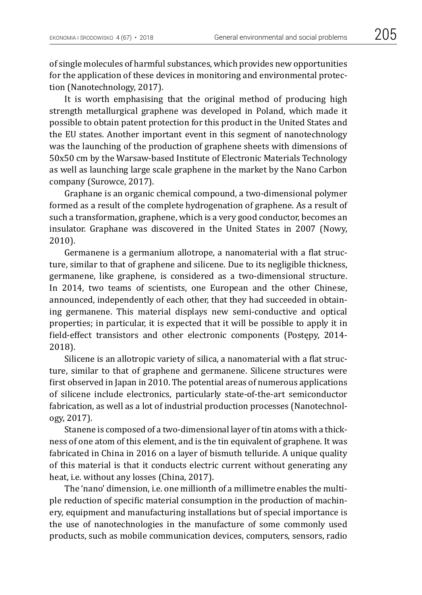of single molecules of harmful substances, which provides new opportunities for the application of these devices in monitoring and environmental protection (Nanotechnology, 2017).

It is worth emphasising that the original method of producing high strength metallurgical graphene was developed in Poland, which made it possible to obtain patent protection for this product in the United States and the EU states. Another important event in this segment of nanotechnology was the launching of the production of graphene sheets with dimensions of 50x50 cm by the Warsaw-based Institute of Electronic Materials Technology as well as launching large scale graphene in the market by the Nano Carbon company (Surowce, 2017).

Graphane is an organic chemical compound, a two-dimensional polymer formed as a result of the complete hydrogenation of graphene. As a result of such a transformation, graphene, which is a very good conductor, becomes an insulator. Graphane was discovered in the United States in 2007 (Nowy, 2010).

Germanene is a germanium allotrope, a nanomaterial with a flat structure, similar to that of graphene and silicene. Due to its negligible thickness, germanene, like graphene, is considered as a two-dimensional structure. In 2014, two teams of scientists, one European and the other Chinese, announced, independently of each other, that they had succeeded in obtaining germanene. This material displays new semi-conductive and optical properties; in particular, it is expected that it will be possible to apply it in field-effect transistors and other electronic components (Postępy, 2014- 2018).

Silicene is an allotropic variety of silica, a nanomaterial with a flat structure, similar to that of graphene and germanene. Silicene structures were first observed in Japan in 2010. The potential areas of numerous applications of silicene include electronics, particularly state-of-the-art semiconductor fabrication, as well as a lot of industrial production processes (Nanotechnology, 2017).

Stanene is composed of a two-dimensional layer of tin atoms with a thickness of one atom of this element, and is the tin equivalent of graphene. It was fabricated in China in 2016 on a layer of bismuth telluride. A unique quality of this material is that it conducts electric current without generating any heat, i.e. without any losses (China, 2017).

The 'nano' dimension, i.e. one millionth of a millimetre enables the multiple reduction of specific material consumption in the production of machinery, equipment and manufacturing installations but of special importance is the use of nanotechnologies in the manufacture of some commonly used products, such as mobile communication devices, computers, sensors, radio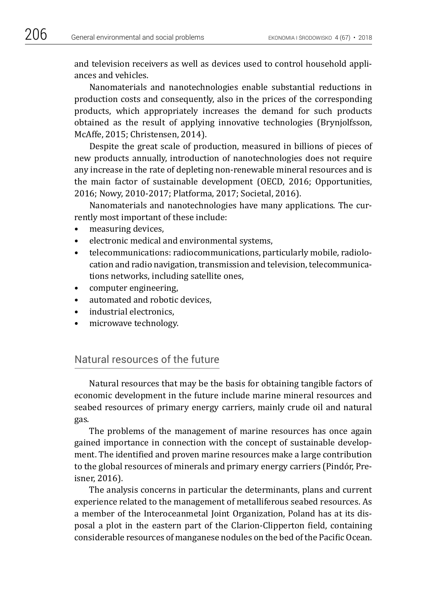and television receivers as well as devices used to control household appliances and vehicles.

Nanomaterials and nanotechnologies enable substantial reductions in production costs and consequently, also in the prices of the corresponding products, which appropriately increases the demand for such products obtained as the result of applying innovative technologies (Brynjolfsson, McAffe, 2015; Christensen, 2014).

Despite the great scale of production, measured in billions of pieces of new products annually, introduction of nanotechnologies does not require any increase in the rate of depleting non-renewable mineral resources and is the main factor of sustainable development (OECD, 2016; Opportunities, 2016; Nowy, 2010-2017; Platforma, 2017; Societal, 2016).

Nanomaterials and nanotechnologies have many applications. The currently most important of these include:

- measuring devices,
- electronic medical and environmental systems,
- telecommunications: radiocommunications, particularly mobile, radiolocation and radio navigation, transmission and television, telecommunications networks, including satellite ones,
- computer engineering,
- automated and robotic devices,
- industrial electronics,
- microwave technology.

#### Natural resources of the future

Natural resources that may be the basis for obtaining tangible factors of economic development in the future include marine mineral resources and seabed resources of primary energy carriers, mainly crude oil and natural gas.

The problems of the management of marine resources has once again gained importance in connection with the concept of sustainable development. The identified and proven marine resources make a large contribution to the global resources of minerals and primary energy carriers (Pindór, Preisner, 2016).

The analysis concerns in particular the determinants, plans and current experience related to the management of metalliferous seabed resources. As a member of the Interoceanmetal Joint Organization, Poland has at its disposal a plot in the eastern part of the Clarion-Clipperton field, containing considerable resources of manganese nodules on the bed of the Pacific Ocean.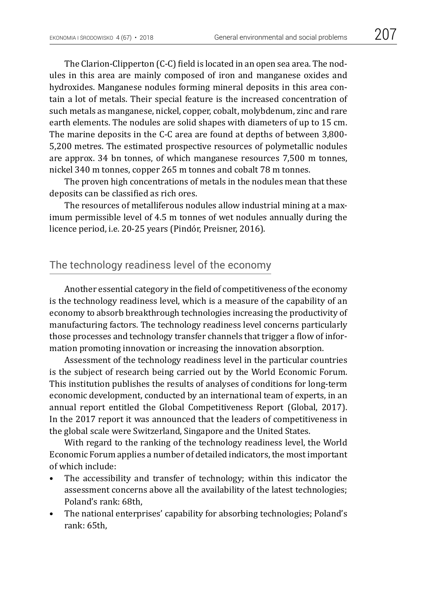The Clarion-Clipperton (C-C) field is located in an open sea area. The nodules in this area are mainly composed of iron and manganese oxides and hydroxides. Manganese nodules forming mineral deposits in this area contain a lot of metals. Their special feature is the increased concentration of such metals as manganese, nickel, copper, cobalt, molybdenum, zinc and rare earth elements. The nodules are solid shapes with diameters of up to 15 cm. The marine deposits in the C-C area are found at depths of between 3,800- 5,200 metres. The estimated prospective resources of polymetallic nodules are approx. 34 bn tonnes, of which manganese resources 7,500 m tonnes, nickel 340 m tonnes, copper 265 m tonnes and cobalt 78 m tonnes.

The proven high concentrations of metals in the nodules mean that these deposits can be classified as rich ores.

The resources of metalliferous nodules allow industrial mining at a maximum permissible level of 4.5 m tonnes of wet nodules annually during the licence period, i.e. 20-25 years (Pindór, Preisner, 2016).

## The technology readiness level of the economy

Another essential category in the field of competitiveness of the economy is the technology readiness level, which is a measure of the capability of an economy to absorb breakthrough technologies increasing the productivity of manufacturing factors. The technology readiness level concerns particularly those processes and technology transfer channels that trigger a flow of information promoting innovation or increasing the innovation absorption.

Assessment of the technology readiness level in the particular countries is the subject of research being carried out by the World Economic Forum. This institution publishes the results of analyses of conditions for long-term economic development, conducted by an international team of experts, in an annual report entitled the Global Competitiveness Report (Global, 2017). In the 2017 report it was announced that the leaders of competitiveness in the global scale were Switzerland, Singapore and the United States.

With regard to the ranking of the technology readiness level, the World Economic Forum applies a number of detailed indicators, the most important of which include:

- The accessibility and transfer of technology; within this indicator the assessment concerns above all the availability of the latest technologies; Poland's rank: 68th,
- The national enterprises' capability for absorbing technologies; Poland's rank: 65th,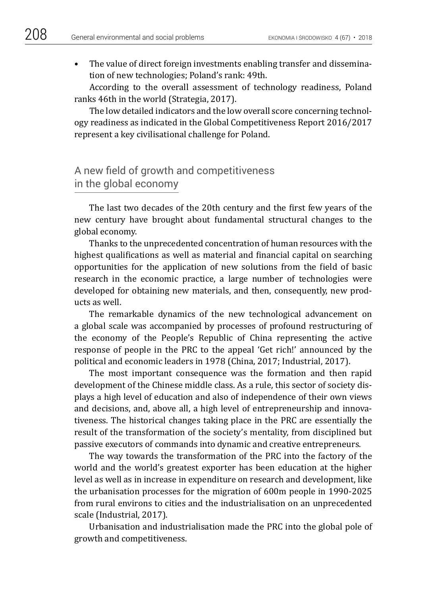• The value of direct foreign investments enabling transfer and dissemination of new technologies; Poland's rank: 49th.

According to the overall assessment of technology readiness, Poland ranks 46th in the world (Strategia, 2017).

The low detailed indicators and the low overall score concerning technology readiness as indicated in the Global Competitiveness Report 2016/2017 represent a key civilisational challenge for Poland.

## A new field of growth and competitiveness in the global economy

The last two decades of the 20th century and the first few years of the new century have brought about fundamental structural changes to the global economy.

Thanks to the unprecedented concentration of human resources with the highest qualifications as well as material and financial capital on searching opportunities for the application of new solutions from the field of basic research in the economic practice, a large number of technologies were developed for obtaining new materials, and then, consequently, new products as well.

The remarkable dynamics of the new technological advancement on a global scale was accompanied by processes of profound restructuring of the economy of the People's Republic of China representing the active response of people in the PRC to the appeal 'Get rich!' announced by the political and economic leaders in 1978 (China, 2017; Industrial, 2017).

The most important consequence was the formation and then rapid development of the Chinese middle class. As a rule, this sector of society displays a high level of education and also of independence of their own views and decisions, and, above all, a high level of entrepreneurship and innovativeness. The historical changes taking place in the PRC are essentially the result of the transformation of the society's mentality, from disciplined but passive executors of commands into dynamic and creative entrepreneurs.

The way towards the transformation of the PRC into the factory of the world and the world's greatest exporter has been education at the higher level as well as in increase in expenditure on research and development, like the urbanisation processes for the migration of 600m people in 1990-2025 from rural environs to cities and the industrialisation on an unprecedented scale (Industrial, 2017).

Urbanisation and industrialisation made the PRC into the global pole of growth and competitiveness.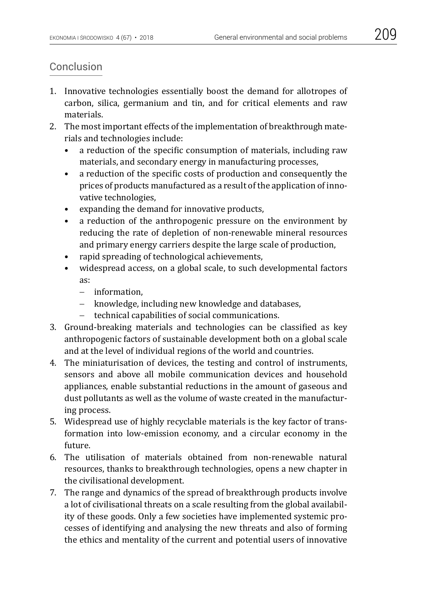### Conclusion

- 1. Innovative technologies essentially boost the demand for allotropes of carbon, silica, germanium and tin, and for critical elements and raw materials.
- 2. The most important effects of the implementation of breakthrough materials and technologies include:
	- a reduction of the specific consumption of materials, including raw materials, and secondary energy in manufacturing processes,
	- a reduction of the specific costs of production and consequently the prices of products manufactured as a result of the application of innovative technologies,
	- expanding the demand for innovative products,
	- a reduction of the anthropogenic pressure on the environment by reducing the rate of depletion of non-renewable mineral resources and primary energy carriers despite the large scale of production,
	- rapid spreading of technological achievements,
	- widespread access, on a global scale, to such developmental factors as:
		- − information,
		- − knowledge, including new knowledge and databases,
		- − technical capabilities of social communications.
- 3. Ground-breaking materials and technologies can be classified as key anthropogenic factors of sustainable development both on a global scale and at the level of individual regions of the world and countries.
- 4. The miniaturisation of devices, the testing and control of instruments, sensors and above all mobile communication devices and household appliances, enable substantial reductions in the amount of gaseous and dust pollutants as well as the volume of waste created in the manufacturing process.
- 5. Widespread use of highly recyclable materials is the key factor of transformation into low-emission economy, and a circular economy in the future.
- 6. The utilisation of materials obtained from non-renewable natural resources, thanks to breakthrough technologies, opens a new chapter in the civilisational development.
- 7. The range and dynamics of the spread of breakthrough products involve a lot of civilisational threats on a scale resulting from the global availability of these goods. Only a few societies have implemented systemic processes of identifying and analysing the new threats and also of forming the ethics and mentality of the current and potential users of innovative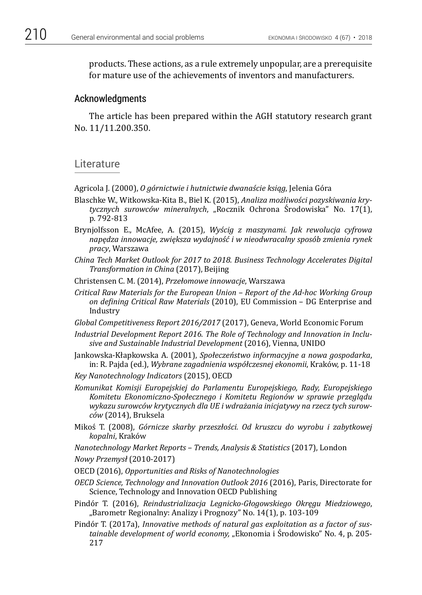products. These actions, as a rule extremely unpopular, are a prerequisite for mature use of the achievements of inventors and manufacturers.

#### Acknowledgments

The article has been prepared within the AGH statutory research grant No. 11/11.200.350.

#### **Literature**

Agricola J. (2000), *O górnictwie i hutnictwie dwanaście ksiąg*, Jelenia Góra

- Blaschke W., Witkowska-Kita B., Biel K. (2015), *Analiza możliwości pozyskiwania krytycznych surowców mineralnych*, "Rocznik Ochrona Środowiska" No. 17(1), p. 792-813
- Brynjolfsson E., McAfee, A. (2015), *Wyścig z maszynami. Jak rewolucja cyfrowa napędza innowacje, zwiększa wydajność i w nieodwracalny sposób zmienia rynek pracy*, Warszawa
- *China Tech Market Outlook for 2017 to 2018. Business Technology Accelerates Digital Transformation in China* (2017), Beijing
- Christensen C. M. (2014), *Przełomowe innowacje*, Warszawa
- *Critical Raw Materials for the European Union Report of the Ad-hoc Working Group on defining Critical Raw Materials* (2010), EU Commission – DG Enterprise and Industry
- *Global Competitiveness Report 2016/2017* (2017), Geneva, World Economic Forum
- *Industrial Development Report 2016. The Role of Technology and Innovation in Inclusive and Sustainable Industrial Development* (2016), Vienna, UNIDO
- Jankowska-Kłapkowska A. (2001), *Społeczeństwo informacyjne a nowa gospodarka*, in: R. Pajda (ed.), *Wybrane zagadnienia współczesnej ekonomii*, Kraków, p. 11-18
- *Key Nanotechnology Indicators* (2015), OECD
- *Komunikat Komisji Europejskiej do Parlamentu Europejskiego, Rady, Europejskiego Komitetu Ekonomiczno-Społecznego i Komitetu Regionów w sprawie przeglądu wykazu surowców krytycznych dla UE i wdrażania inicjatywy na rzecz tych surowców* (2014), Bruksela
- Mikoś T. (2008), *Górnicze skarby przeszłości. Od kruszcu do wyrobu i zabytkowej kopalni*, Kraków

*Nanotechnology Market Reports – Trends, Analysis & Statistics* (2017), London

*Nowy Przemysł* (2010-2017)

- OECD (2016), *Opportunities and Risks of Nanotechnologies*
- *OECD Science, Technology and Innovation Outlook 2016* (2016), Paris, Directorate for Science, Technology and Innovation OECD Publishing
- Pindór T. (2016), *Reindustrializacja Legnicko-Głogowskiego Okręgu Miedziowego*, "Barometr Regionalny: Analizy i Prognozy" No. 14(1), p. 103-109
- Pindór T. (2017a), *Innovative methods of natural gas exploitation as a factor of sustainable development of world economy,* "Ekonomia i Środowisko" No. 4, p. 205- 217